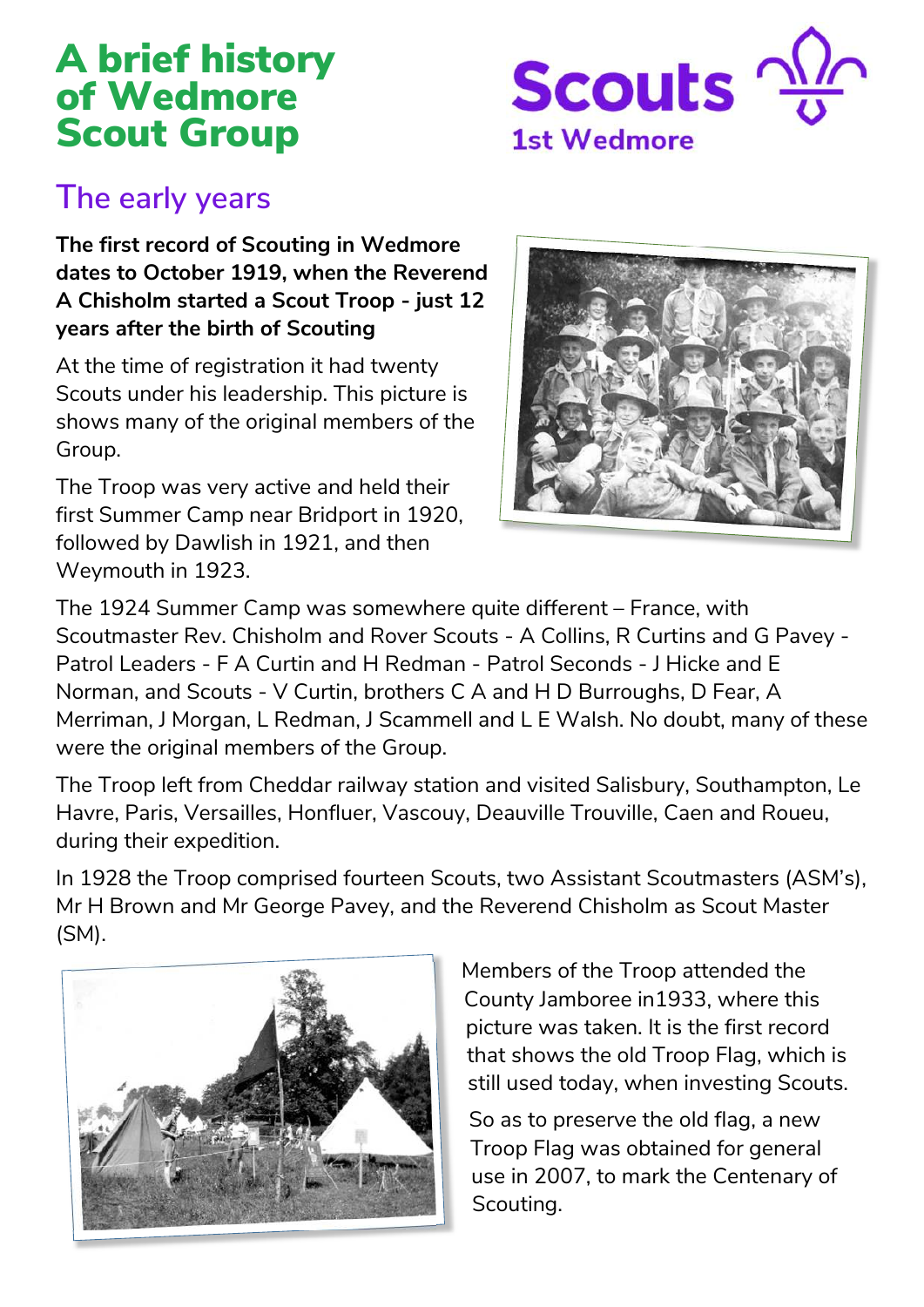# A brief history of Wedmore Scout Group



#### **The early years**

**The first record of Scouting in Wedmore dates to October 1919, when the Reverend A Chisholm started a Scout Troop - just 12 years after the birth of Scouting** 

At the time of registration it had twenty Scouts under his leadership. This picture is shows many of the original members of the Group.

The Troop was very active and held their first Summer Camp near Bridport in 1920, followed by Dawlish in 1921, and then Weymouth in 1923.



The 1924 Summer Camp was somewhere quite different – France, with Scoutmaster Rev. Chisholm and Rover Scouts - A Collins, R Curtins and G Pavey - Patrol Leaders - F A Curtin and H Redman - Patrol Seconds - J Hicke and E Norman, and Scouts - V Curtin, brothers C A and H D Burroughs, D Fear, A Merriman, J Morgan, L Redman, J Scammell and L E Walsh. No doubt, many of these were the original members of the Group.

The Troop left from Cheddar railway station and visited Salisbury, Southampton, Le Havre, Paris, Versailles, Honfluer, Vascouy, Deauville Trouville, Caen and Roueu, during their expedition.

In 1928 the Troop comprised fourteen Scouts, two Assistant Scoutmasters (ASM's), Mr H Brown and Mr George Pavey, and the Reverend Chisholm as Scout Master (SM).



Members of the Troop attended the County Jamboree in1933, where this picture was taken. It is the first record that shows the old Troop Flag, which is still used today, when investing Scouts.

So as to preserve the old flag, a new Troop Flag was obtained for general use in 2007, to mark the Centenary of Scouting.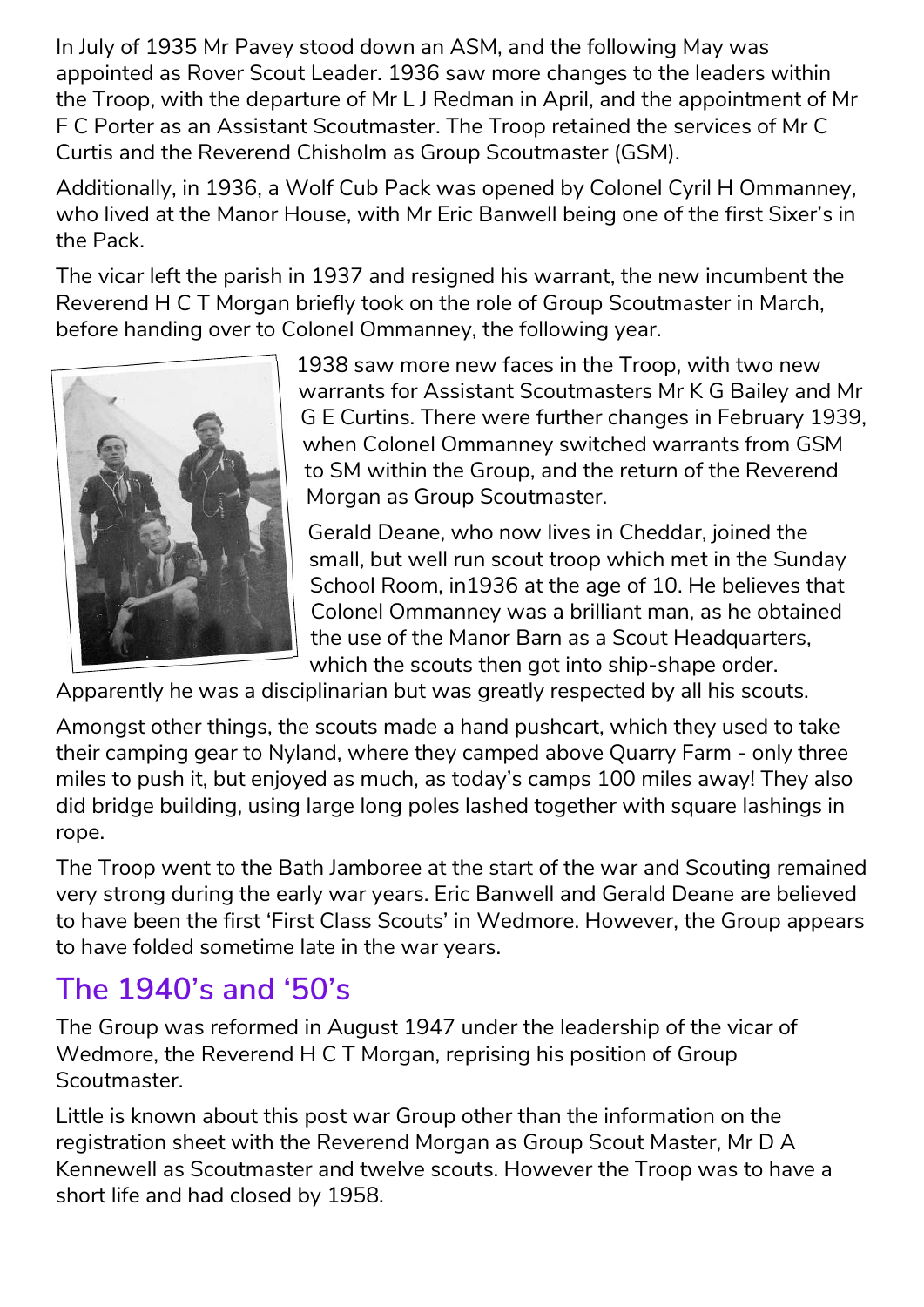In July of 1935 Mr Pavey stood down an ASM, and the following May was appointed as Rover Scout Leader. 1936 saw more changes to the leaders within the Troop, with the departure of Mr L J Redman in April, and the appointment of Mr F C Porter as an Assistant Scoutmaster. The Troop retained the services of Mr C Curtis and the Reverend Chisholm as Group Scoutmaster (GSM).

Additionally, in 1936, a Wolf Cub Pack was opened by Colonel Cyril H Ommanney, who lived at the Manor House, with Mr Eric Banwell being one of the first Sixer's in the Pack.

The vicar left the parish in 1937 and resigned his warrant, the new incumbent the Reverend H C T Morgan briefly took on the role of Group Scoutmaster in March, before handing over to Colonel Ommanney, the following year.



1938 saw more new faces in the Troop, with two new warrants for Assistant Scoutmasters Mr K G Bailey and Mr G E Curtins. There were further changes in February 1939, when Colonel Ommanney switched warrants from GSM to SM within the Group, and the return of the Reverend Morgan as Group Scoutmaster.

Gerald Deane, who now lives in Cheddar, joined the small, but well run scout troop which met in the Sunday School Room, in1936 at the age of 10. He believes that Colonel Ommanney was a brilliant man, as he obtained the use of the Manor Barn as a Scout Headquarters, which the scouts then got into ship-shape order.

Apparently he was a disciplinarian but was greatly respected by all his scouts.

Amongst other things, the scouts made a hand pushcart, which they used to take their camping gear to Nyland, where they camped above Quarry Farm - only three miles to push it, but enjoyed as much, as today's camps 100 miles away! They also did bridge building, using large long poles lashed together with square lashings in rope.

The Troop went to the Bath Jamboree at the start of the war and Scouting remained very strong during the early war years. Eric Banwell and Gerald Deane are believed to have been the first 'First Class Scouts' in Wedmore. However, the Group appears to have folded sometime late in the war years.

### **The 1940's and '50's**

The Group was reformed in August 1947 under the leadership of the vicar of Wedmore, the Reverend H C T Morgan, reprising his position of Group Scoutmaster.

Little is known about this post war Group other than the information on the registration sheet with the Reverend Morgan as Group Scout Master, Mr D A Kennewell as Scoutmaster and twelve scouts. However the Troop was to have a short life and had closed by 1958.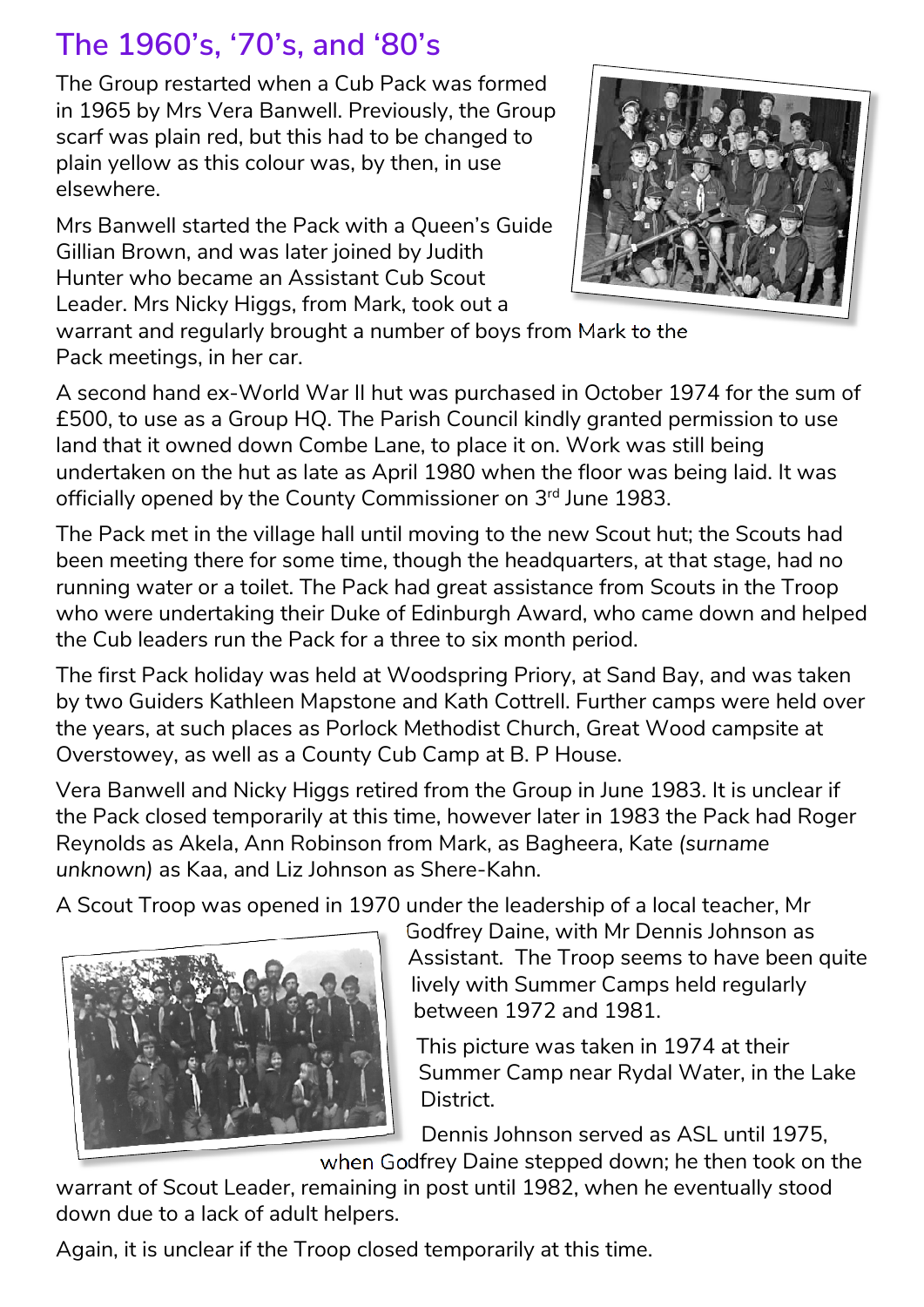## **The 1960's, '70's, and '80's**

The Group restarted when a Cub Pack was formed in 1965 by Mrs Vera Banwell. Previously, the Group scarf was plain red, but this had to be changed to plain yellow as this colour was, by then, in use elsewhere.

Mrs Banwell started the Pack with a Queen's Guide Gillian Brown, and was later joined by Judith Hunter who became an Assistant Cub Scout Leader. Mrs Nicky Higgs, from Mark, took out a



warrant and regularly brought a number of boys from Mark to the Pack meetings, in her car.

A second hand ex-World War II hut was purchased in October 1974 for the sum of £500, to use as a Group HQ. The Parish Council kindly granted permission to use land that it owned down Combe Lane, to place it on. Work was still being undertaken on the hut as late as April 1980 when the floor was being laid. It was officially opened by the County Commissioner on 3rd June 1983.

The Pack met in the village hall until moving to the new Scout hut; the Scouts had been meeting there for some time, though the headquarters, at that stage, had no running water or a toilet. The Pack had great assistance from Scouts in the Troop who were undertaking their Duke of Edinburgh Award, who came down and helped the Cub leaders run the Pack for a three to six month period.

The first Pack holiday was held at Woodspring Priory, at Sand Bay, and was taken by two Guiders Kathleen Mapstone and Kath Cottrell. Further camps were held over the years, at such places as Porlock Methodist Church, Great Wood campsite at Overstowey, as well as a County Cub Camp at B. P House.

Vera Banwell and Nicky Higgs retired from the Group in June 1983. It is unclear if the Pack closed temporarily at this time, however later in 1983 the Pack had Roger Reynolds as Akela, Ann Robinson from Mark, as Bagheera, Kate *(surname unknown)* as Kaa, and Liz Johnson as Shere-Kahn.

A Scout Troop was opened in 1970 under the leadership of a local teacher, Mr



Godfrey Daine, with Mr Dennis Johnson as Assistant. The Troop seems to have been quite lively with Summer Camps held regularly between 1972 and 1981.

This picture was taken in 1974 at their Summer Camp near Rydal Water, in the Lake District.

Dennis Johnson served as ASL until 1975,

when Godfrey Daine stepped down; he then took on the warrant of Scout Leader, remaining in post until 1982, when he eventually stood down due to a lack of adult helpers.

Again, it is unclear if the Troop closed temporarily at this time.